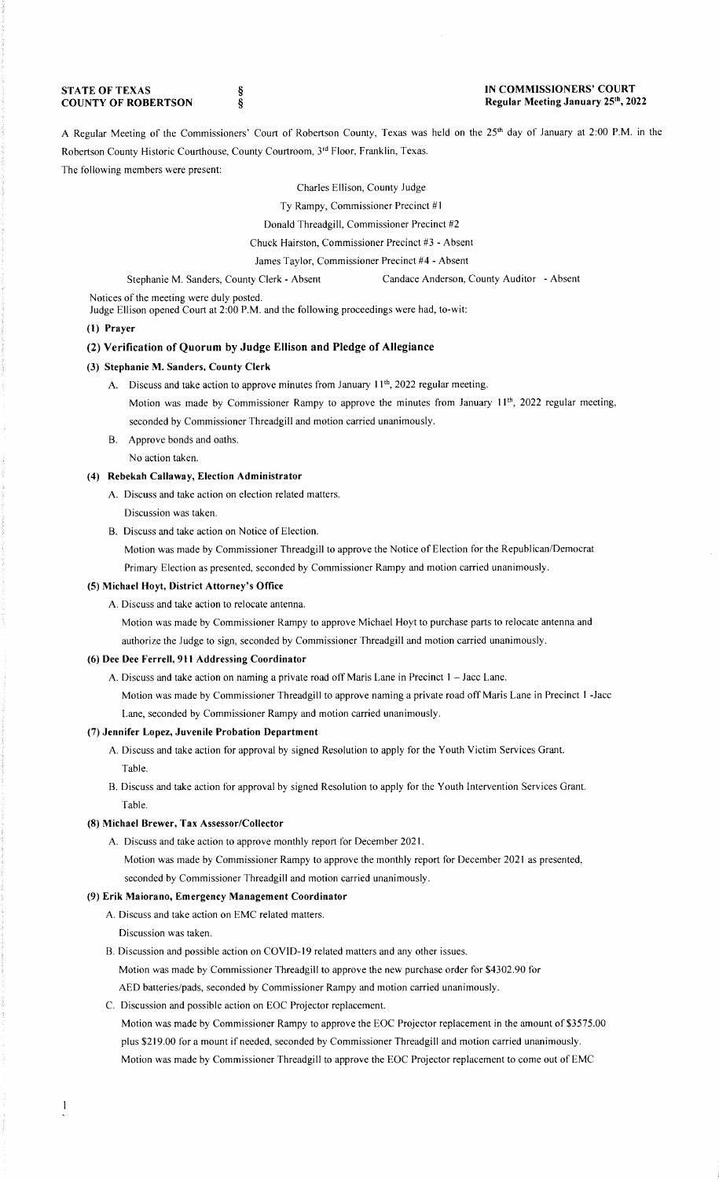### **STATE OF TEXAS COUNTY OF ROBERTSON**

§ §

#### **IN COMMISSIONERS' COURT Regular Meeting January 25th , 2022**

A Regular Meeting of the Commissioners' Court of Robertson County, Texas was held on the 25th day of January at 2:00 **P.M.** in the Robertson County Historic Courthouse, County Courtroom, 3rd Floor, Franklin, Texas.

# The following members were present:

### Charles Ellison, County Judge

Ty Rampy, Commissioner Precinct **#1** 

Donald Threadgill, Commissioner Precinct #2

Chuck Hairston, Commissioner Precinct #3 - Absent

James Taylor, Commissioner Precinct #4 - Absent

#### Stephanie M. Sanders, County Clerk - Absent Candace Anderson, County Auditor - Absent

Notices of the meeting were duly posted.

Judge Ellison opened Court at 2:00 **P.M.** and the following proceedings were had, to-wit:

### **(1) Prayer**

## **(2) Verification of Quorum by Judge Ellison and Pledge of Allegiance**

#### **(3) Stephanie M. Sanders, County Clerk**

- A. Discuss and take action to approve minutes from January 11<sup>th</sup>, 2022 regular meeting.
	- Motion was made by Commissioner Rampy to approve the minutes from January 11<sup>th</sup>, 2022 regular meeting, seconded by Commissioner Threadgill and motion carried unanimously.
- B. Approve bonds and oaths.
- No action taken.

# **(4) Rebekah Callaway, Election Administrator**

- A. Discuss and take action on election related matters.
	- Discussion was taken.
- B. Discuss and take action on Notice of Election.

Motion was made by Commissioner Threadgill to approve the Notice of Election for the Republican/Democrat Primary Election as presented, seconded by Commissioner Rampy and motion carried unanimously.

#### **(5) Michael Hoyt, District Attorney's Office**

- A. Discuss and take action to relocate antenna.
	- Motion was made by Commissioner Rampy to approve Michael Hoyt to purchase parts to relocate antenna and authorize the Judge to sign, seconded by Commissioner Threadgill and motion carried unanimously.

### **(6) Dee Dee Ferrell, 911 Addressing Coordinator**

- A. Discuss and take action on naming a private road off Maris Lane in Precinct 1 Jacc Lane.
	- Motion was made by Commissioner Threadgill to approve naming a private road off Maris Lane in Precinct 1 -Jacc Lane, seconded by Commissioner Rampy and motion carried unanimously.

## **(7) Jennifer Lopez, Juvenile Probation Department**

- A. Discuss and take action for approval by signed Resolution to apply for the Youth Victim Services Grant. Table.
- B. Discuss and take action for approval by signed Resolution to apply for the Youth Intervention Services Grant. Table.

## **(8) Michael Brewer, Tax Assessor/Collector**

A. Discuss and take action to approve monthly report for December 2021. Motion was made by Commissioner Rampy to approve the monthly report for December 2021 as presented, seconded by Commissioner Threadgill and motion carried unanimously.

#### **(9) Erik Maiorano, Emergency Management Coordinator**

- A. Discuss and take action on EMC related matters.
	- Discussion was taken.
- B. Discussion and possible action on COVID-19 related matters and any other issues.
	- Motion was made by Commissioner Threadgill to approve the new purchase order for \$4302.90 for
	- AED batteries/pads, seconded by Commissioner Rampy and motion carried unanimously.
- C. Discussion and possible action on EOC Projector replacement.

Motion was made by Commissioner Rampy to approve the EOC Projector replacement in the amount of \$3575.00 plus \$219.00 for a mount if needed, seconded by Commissioner Threadgill and motion carried unanimously. Motion was made by Commissioner Threadgill to approve the EOC Projector replacement to come out of EMC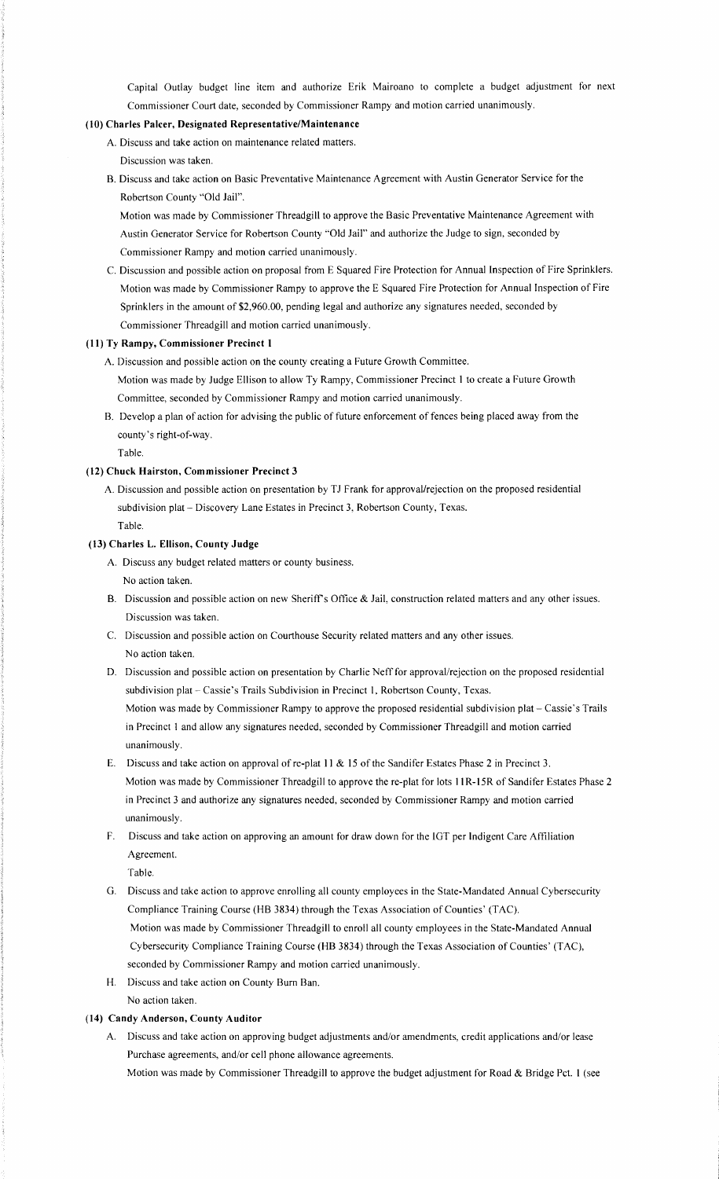Capital Outlay budget line item and authorize Erik Mairoano to complete a budget adjustment for next Commissioner Court date, seconded by Commissioner Rampy and motion carried unanimously.

# **(10) Charles Paker, Designated Representative/Maintenance**

- A. Discuss and take action on maintenance related matters. Discussion was taken.
- B. Discuss and take action on Basic Preventative Maintenance Agreement with Austin Generator Service for the Robertson County "Old Jail".

Motion was made by Commissioner Threadgill to approve the Basic Preventative Maintenance Agreement with Austin Generator Service for Robertson County ''Old Jail" and authorize the Judge to sign, seconded by Commissioner Rampy and motion carried unanimously.

C. Discussion and possible action on proposal from E Squared Fire Protection for Annual Inspection of Fire Sprinklers. Motion was made by Commissioner Rampy to approve the E Squared Fire Protection for Annual Inspection of Fire Sprinklers in the amount of \$2,960.00, pending legal and authorize any signatures needed, seconded by Commissioner Threadgill and motion carried unanimously.

### **(11) Ty Rampy, Commissioner Precinct 1**

A. Discussion and possible action on the county creating a Future Growth Committee. Motion was made by Judge Ellison to allow Ty Rampy, Commissioner Precinct I to create a Future Growth Committee, seconded by Commissioner Rampy and motion carried unanimously.

B. Develop a plan of action for advising the public of future enforcement of fences being placed away from the county's right-of-way.

Table.

## **(12) Chuck Hairston, Commissioner Precinct 3**

A. Discussion and possible action on presentation by TJ Frank for approval/rejection on the proposed residential subdivision plat - Discovery Lane Estates in Precinct 3, Robertson County, Texas.

Table.

## **(13) Charles L. Ellison, County Judge**

- A. Discuss any budget related matters or county business. No action taken.
- B. Discussion and possible action on new Sheriff's Office & Jail, construction related matters and any other issues. Discussion was taken.
- C. Discussion and possible action on Courthouse Security related matters and any other issues. No action taken.
- D. Discussion and possible action on presentation by Charlie Neff for approval/rejection on the proposed residential subdivision plat - Cassie's Trails Subdivision in Precinct 1, Robertson County, Texas.

Motion was made by Commissioner Rampy to approve the proposed residential subdivision plat- Cassie's Trails in Precinct 1 and allow any signatures needed, seconded by Commissioner Threadgill and motion carried unanimously.

- E. Discuss and take action on approval of re-plat **11** & 15 of the Sandifer Estates Phase 2 in Precinct 3. Motion was made by Commissioner Threadgill to approve the re-plat for lots **11** R-15R of Sandifer Estates Phase 2 in Precinct 3 and authorize any signatures needed, seconded by Commissioner Rampy and motion carried unanimously.
- F. Discuss and take action on approving an amount for draw down for the IGT per Indigent Care Affiliation Agreement.

Table.

- G. Discuss and take action to approve enrolling all county employees in the State-Mandated Annual Cybersecurity Compliance Training Course (HB 3834) through the Texas Association of Counties' (TAC). Motion was made by Commissioner Threadgill to enroll all county employees in the State-Mandated Annual Cybersecurity Compliance Training Course (HB 3834) through the Texas Association of Counties' (TAC), seconded by Commissioner Rampy and motion carried unanimously.
- H. Discuss and take action on County Bum Ban.
- No action taken.

## **(14) Candy Anderson, County Auditor**

A. Discuss and take action on approving budget adjustments and/or amendments, credit applications and/or lease Purchase agreements, and/or cell phone allowance agreements.

Motion was made by Commissioner Threadgill to approve the budget adjustment for Road & Bridge Pct. **1** (see